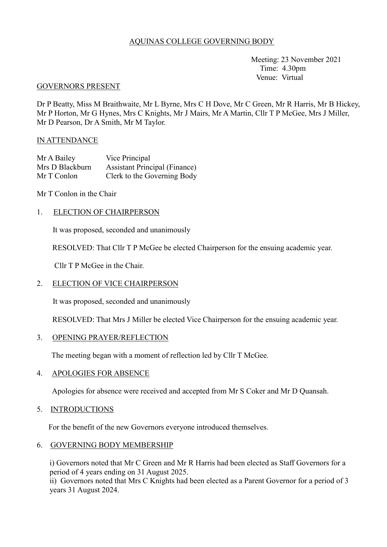## AQUINAS COLLEGE GOVERNING BODY

 Meeting: 23 November 2021 Time: 4.30pm Venue: Virtual

#### GOVERNORS PRESENT

Dr P Beatty, Miss M Braithwaite, Mr L Byrne, Mrs C H Dove, Mr C Green, Mr R Harris, Mr B Hickey, Mr P Horton, Mr G Hynes, Mrs C Knights, Mr J Mairs, Mr A Martin, Cllr T P McGee, Mrs J Miller, Mr D Pearson, Dr A Smith, Mr M Taylor.

#### IN ATTENDANCE

| Mr A Bailey     | Vice Principal                       |
|-----------------|--------------------------------------|
| Mrs D Blackburn | <b>Assistant Principal (Finance)</b> |
| Mr T Conlon     | Clerk to the Governing Body          |

Mr T Conlon in the Chair

#### 1. ELECTION OF CHAIRPERSON

It was proposed, seconded and unanimously

RESOLVED: That Cllr T P McGee be elected Chairperson for the ensuing academic year.

Cllr T P McGee in the Chair.

#### 2. ELECTION OF VICE CHAIRPERSON

It was proposed, seconded and unanimously

RESOLVED: That Mrs J Miller be elected Vice Chairperson for the ensuing academic year.

#### 3. OPENING PRAYER/REFLECTION

The meeting began with a moment of reflection led by Cllr T McGee.

#### 4. APOLOGIES FOR ABSENCE

Apologies for absence were received and accepted from Mr S Coker and Mr D Quansah.

#### 5. INTRODUCTIONS

For the benefit of the new Governors everyone introduced themselves.

#### 6. GOVERNING BODY MEMBERSHIP

i) Governors noted that Mr C Green and Mr R Harris had been elected as Staff Governors for a period of 4 years ending on 31 August 2025.

ii) Governors noted that Mrs C Knights had been elected as a Parent Governor for a period of 3 years 31 August 2024.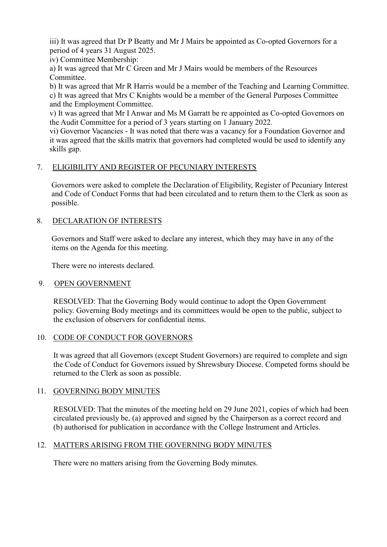iii) It was agreed that Dr P Beatty and Mr J Mairs be appointed as Co-opted Governors for a period of 4 years 31 August 2025.

iv) Committee Membership:

a) It was agreed that Mr C Green and Mr J Mairs would be members of the Resources Committee.

b) It was agreed that Mr R Harris would be a member of the Teaching and Learning Committee. c) It was agreed that Mrs C Knights would be a member of the General Purposes Committee and the Employment Committee.

v) It was agreed that Mr I Anwar and Ms M Garratt be re appointed as Co-opted Governors on the Audit Committee for a period of 3 years starting on 1 January 2022.

vi) Governor Vacancies - It was noted that there was a vacancy for a Foundation Governor and it was agreed that the skills matrix that governors had completed would be used to identify any skills gap.

# 7. ELIGIBILITY AND REGISTER OF PECUNIARY INTERESTS

Governors were asked to complete the Declaration of Eligibility, Register of Pecuniary Interest and Code of Conduct Forms that had been circulated and to return them to the Clerk as soon as possible.

# 8. DECLARATION OF INTERESTS

Governors and Staff were asked to declare any interest, which they may have in any of the items on the Agenda for this meeting.

There were no interests declared.

## 9. OPEN GOVERNMENT

RESOLVED: That the Governing Body would continue to adopt the Open Government policy. Governing Body meetings and its committees would be open to the public, subject to the exclusion of observers for confidential items.

## 10. CODE OF CONDUCT FOR GOVERNORS

It was agreed that all Governors (except Student Governors) are required to complete and sign the Code of Conduct for Governors issued by Shrewsbury Diocese. Competed forms should be returned to the Clerk as soon as possible.

## 11. GOVERNING BODY MINUTES

RESOLVED: That the minutes of the meeting held on 29 June 2021, copies of which had been circulated previously be, (a) approved and signed by the Chairperson as a correct record and (b) authorised for publication in accordance with the College Instrument and Articles.

## 12. MATTERS ARISING FROM THE GOVERNING BODY MINUTES

There were no matters arising from the Governing Body minutes.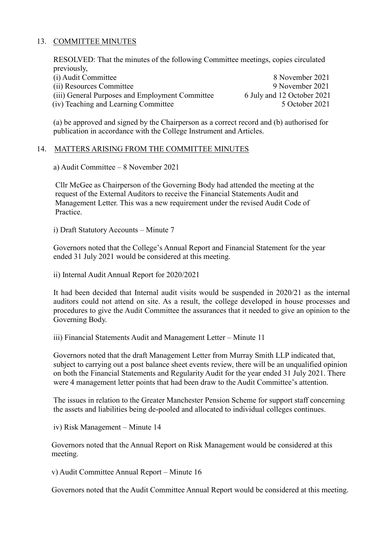# 13. COMMITTEE MINUTES

RESOLVED: That the minutes of the following Committee meetings, copies circulated previously,

| (i) Audit Committee                             | 8 November 2021            |
|-------------------------------------------------|----------------------------|
| (ii) Resources Committee                        | 9 November 2021            |
| (iii) General Purposes and Employment Committee | 6 July and 12 October 2021 |
| (iv) Teaching and Learning Committee            | 5 October 2021             |

(a) be approved and signed by the Chairperson as a correct record and (b) authorised for publication in accordance with the College Instrument and Articles.

### 14. MATTERS ARISING FROM THE COMMITTEE MINUTES

a) Audit Committee – 8 November 2021

Cllr McGee as Chairperson of the Governing Body had attended the meeting at the request of the External Auditors to receive the Financial Statements Audit and Management Letter. This was a new requirement under the revised Audit Code of Practice.

i) Draft Statutory Accounts – Minute 7

Governors noted that the College's Annual Report and Financial Statement for the year ended 31 July 2021 would be considered at this meeting.

ii) Internal Audit Annual Report for 2020/2021

It had been decided that Internal audit visits would be suspended in 2020/21 as the internal auditors could not attend on site. As a result, the college developed in house processes and procedures to give the Audit Committee the assurances that it needed to give an opinion to the Governing Body.

iii) Financial Statements Audit and Management Letter – Minute 11

Governors noted that the draft Management Letter from Murray Smith LLP indicated that, subject to carrying out a post balance sheet events review, there will be an unqualified opinion on both the Financial Statements and Regularity Audit for the year ended 31 July 2021. There were 4 management letter points that had been draw to the Audit Committee's attention.

The issues in relation to the Greater Manchester Pension Scheme for support staff concerning the assets and liabilities being de-pooled and allocated to individual colleges continues.

iv) Risk Management – Minute 14

Governors noted that the Annual Report on Risk Management would be considered at this meeting.

v) Audit Committee Annual Report – Minute 16

Governors noted that the Audit Committee Annual Report would be considered at this meeting.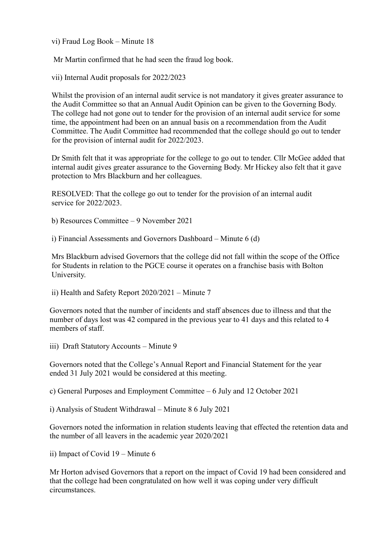vi) Fraud Log Book – Minute 18

Mr Martin confirmed that he had seen the fraud log book.

vii) Internal Audit proposals for 2022/2023

Whilst the provision of an internal audit service is not mandatory it gives greater assurance to the Audit Committee so that an Annual Audit Opinion can be given to the Governing Body. The college had not gone out to tender for the provision of an internal audit service for some time, the appointment had been on an annual basis on a recommendation from the Audit Committee. The Audit Committee had recommended that the college should go out to tender for the provision of internal audit for 2022/2023.

Dr Smith felt that it was appropriate for the college to go out to tender. Cllr McGee added that internal audit gives greater assurance to the Governing Body. Mr Hickey also felt that it gave protection to Mrs Blackburn and her colleagues.

RESOLVED: That the college go out to tender for the provision of an internal audit service for 2022/2023.

b) Resources Committee – 9 November 2021

i) Financial Assessments and Governors Dashboard – Minute 6 (d)

Mrs Blackburn advised Governors that the college did not fall within the scope of the Office for Students in relation to the PGCE course it operates on a franchise basis with Bolton University.

ii) Health and Safety Report 2020/2021 – Minute 7

Governors noted that the number of incidents and staff absences due to illness and that the number of days lost was 42 compared in the previous year to 41 days and this related to 4 members of staff.

iii) Draft Statutory Accounts – Minute 9

Governors noted that the College's Annual Report and Financial Statement for the year ended 31 July 2021 would be considered at this meeting.

c) General Purposes and Employment Committee – 6 July and 12 October 2021

i) Analysis of Student Withdrawal – Minute 8 6 July 2021

Governors noted the information in relation students leaving that effected the retention data and the number of all leavers in the academic year 2020/2021

ii) Impact of Covid 19 – Minute 6

Mr Horton advised Governors that a report on the impact of Covid 19 had been considered and that the college had been congratulated on how well it was coping under very difficult circumstances.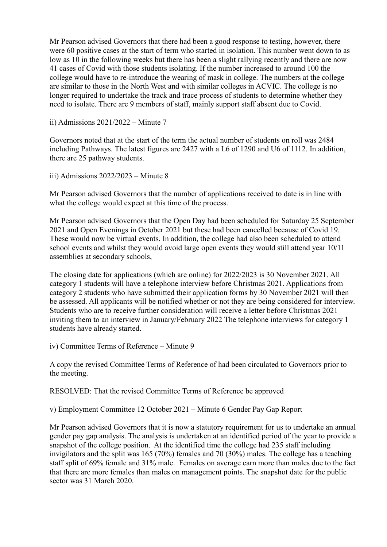Mr Pearson advised Governors that there had been a good response to testing, however, there were 60 positive cases at the start of term who started in isolation. This number went down to as low as 10 in the following weeks but there has been a slight rallying recently and there are now 41 cases of Covid with those students isolating. If the number increased to around 100 the college would have to re-introduce the wearing of mask in college. The numbers at the college are similar to those in the North West and with similar colleges in ACVIC. The college is no longer required to undertake the track and trace process of students to determine whether they need to isolate. There are 9 members of staff, mainly support staff absent due to Covid.

ii) Admissions 2021/2022 – Minute 7

Governors noted that at the start of the term the actual number of students on roll was 2484 including Pathways. The latest figures are 2427 with a L6 of 1290 and U6 of 1112. In addition, there are 25 pathway students.

iii) Admissions 2022/2023 – Minute 8

Mr Pearson advised Governors that the number of applications received to date is in line with what the college would expect at this time of the process.

Mr Pearson advised Governors that the Open Day had been scheduled for Saturday 25 September 2021 and Open Evenings in October 2021 but these had been cancelled because of Covid 19. These would now be virtual events. In addition, the college had also been scheduled to attend school events and whilst they would avoid large open events they would still attend year 10/11 assemblies at secondary schools,

The closing date for applications (which are online) for 2022/2023 is 30 November 2021. All category 1 students will have a telephone interview before Christmas 2021. Applications from category 2 students who have submitted their application forms by 30 November 2021 will then be assessed. All applicants will be notified whether or not they are being considered for interview. Students who are to receive further consideration will receive a letter before Christmas 2021 inviting them to an interview in January/February 2022 The telephone interviews for category 1 students have already started.

iv) Committee Terms of Reference – Minute 9

A copy the revised Committee Terms of Reference of had been circulated to Governors prior to the meeting.

RESOLVED: That the revised Committee Terms of Reference be approved

v) Employment Committee 12 October 2021 – Minute 6 Gender Pay Gap Report

Mr Pearson advised Governors that it is now a statutory requirement for us to undertake an annual gender pay gap analysis. The analysis is undertaken at an identified period of the year to provide a snapshot of the college position. At the identified time the college had 235 staff including invigilators and the split was 165 (70%) females and 70 (30%) males. The college has a teaching staff split of 69% female and 31% male. Females on average earn more than males due to the fact that there are more females than males on management points. The snapshot date for the public sector was 31 March 2020.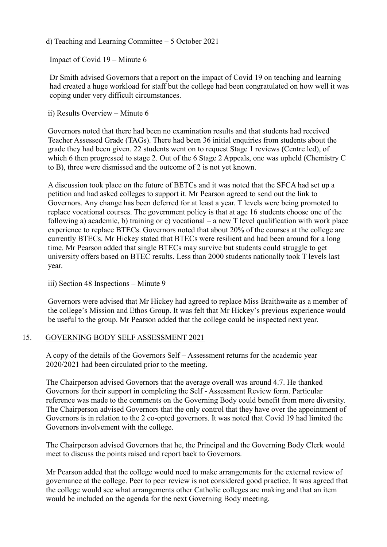d) Teaching and Learning Committee – 5 October 2021

Impact of Covid 19 – Minute 6

Dr Smith advised Governors that a report on the impact of Covid 19 on teaching and learning had created a huge workload for staff but the college had been congratulated on how well it was coping under very difficult circumstances.

ii) Results Overview – Minute 6

Governors noted that there had been no examination results and that students had received Teacher Assessed Grade (TAGs). There had been 36 initial enquiries from students about the grade they had been given. 22 students went on to request Stage 1 reviews (Centre led), of which 6 then progressed to stage 2. Out of the 6 Stage 2 Appeals, one was upheld (Chemistry C to B), three were dismissed and the outcome of 2 is not yet known.

A discussion took place on the future of BETCs and it was noted that the SFCA had set up a petition and had asked colleges to support it. Mr Pearson agreed to send out the link to Governors. Any change has been deferred for at least a year. T levels were being promoted to replace vocational courses. The government policy is that at age 16 students choose one of the following a) academic, b) training or c) vocational – a new T level qualification with work place experience to replace BTECs. Governors noted that about 20% of the courses at the college are currently BTECs. Mr Hickey stated that BTECs were resilient and had been around for a long time. Mr Pearson added that single BTECs may survive but students could struggle to get university offers based on BTEC results. Less than 2000 students nationally took T levels last year.

iii) Section 48 Inspections – Minute 9

Governors were advised that Mr Hickey had agreed to replace Miss Braithwaite as a member of the college's Mission and Ethos Group. It was felt that Mr Hickey's previous experience would be useful to the group. Mr Pearson added that the college could be inspected next year.

## 15. GOVERNING BODY SELF ASSESSMENT 2021

A copy of the details of the Governors Self – Assessment returns for the academic year 2020/2021 had been circulated prior to the meeting.

The Chairperson advised Governors that the average overall was around 4.7. He thanked Governors for their support in completing the Self - Assessment Review form. Particular reference was made to the comments on the Governing Body could benefit from more diversity. The Chairperson advised Governors that the only control that they have over the appointment of Governors is in relation to the 2 co-opted governors. It was noted that Covid 19 had limited the Governors involvement with the college.

The Chairperson advised Governors that he, the Principal and the Governing Body Clerk would meet to discuss the points raised and report back to Governors.

Mr Pearson added that the college would need to make arrangements for the external review of governance at the college. Peer to peer review is not considered good practice. It was agreed that the college would see what arrangements other Catholic colleges are making and that an item would be included on the agenda for the next Governing Body meeting.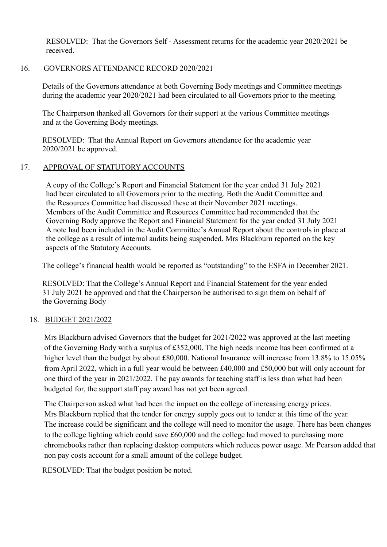RESOLVED: That the Governors Self - Assessment returns for the academic year 2020/2021 be received.

### 16. GOVERNORS ATTENDANCE RECORD 2020/2021

Details of the Governors attendance at both Governing Body meetings and Committee meetings during the academic year 2020/2021 had been circulated to all Governors prior to the meeting.

The Chairperson thanked all Governors for their support at the various Committee meetings and at the Governing Body meetings.

RESOLVED: That the Annual Report on Governors attendance for the academic year 2020/2021 be approved.

## 17. APPROVAL OF STATUTORY ACCOUNTS

A copy of the College's Report and Financial Statement for the year ended 31 July 2021 had been circulated to all Governors prior to the meeting. Both the Audit Committee and the Resources Committee had discussed these at their November 2021 meetings. Members of the Audit Committee and Resources Committee had recommended that the Governing Body approve the Report and Financial Statement for the year ended 31 July 2021 A note had been included in the Audit Committee's Annual Report about the controls in place at the college as a result of internal audits being suspended. Mrs Blackburn reported on the key aspects of the Statutory Accounts.

The college's financial health would be reported as "outstanding" to the ESFA in December 2021.

RESOLVED: That the College's Annual Report and Financial Statement for the year ended 31 July 2021 be approved and that the Chairperson be authorised to sign them on behalf of the Governing Body

## 18. BUDGET 2021/2022

Mrs Blackburn advised Governors that the budget for 2021/2022 was approved at the last meeting of the Governing Body with a surplus of £352,000. The high needs income has been confirmed at a higher level than the budget by about £80,000. National Insurance will increase from 13.8% to 15.05% from April 2022, which in a full year would be between £40,000 and £50,000 but will only account for one third of the year in 2021/2022. The pay awards for teaching staff is less than what had been budgeted for, the support staff pay award has not yet been agreed.

The Chairperson asked what had been the impact on the college of increasing energy prices. Mrs Blackburn replied that the tender for energy supply goes out to tender at this time of the year. The increase could be significant and the college will need to monitor the usage. There has been changes to the college lighting which could save £60,000 and the college had moved to purchasing more chromebooks rather than replacing desktop computers which reduces power usage. Mr Pearson added that non pay costs account for a small amount of the college budget.

RESOLVED: That the budget position be noted.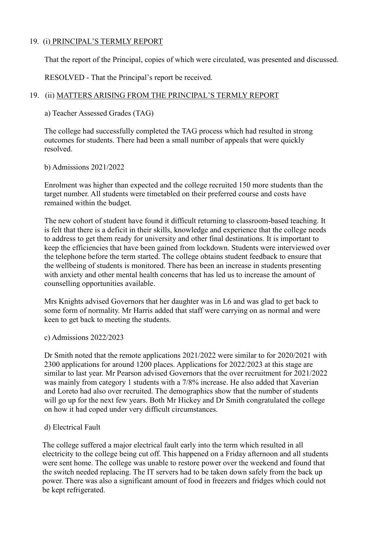## 19. (i) PRINCIPAL'S TERMLY REPORT

That the report of the Principal, copies of which were circulated, was presented and discussed.

RESOLVED - That the Principal's report be received.

### 19. (ii) MATTERS ARISING FROM THE PRINCIPAL'S TERMLY REPORT

a) Teacher Assessed Grades (TAG)

The college had successfully completed the TAG process which had resulted in strong outcomes for students. There had been a small number of appeals that were quickly resolved.

b) Admissions 2021/2022

Enrolment was higher than expected and the college recruited 150 more students than the target number. All students were timetabled on their preferred course and costs have remained within the budget.

The new cohort of student have found it difficult returning to classroom-based teaching. It is felt that there is a deficit in their skills, knowledge and experience that the college needs to address to get them ready for university and other final destinations. It is important to keep the efficiencies that have been gained from lockdown. Students were interviewed over the telephone before the term started. The college obtains student feedback to ensure that the wellbeing of students is monitored. There has been an increase in students presenting with anxiety and other mental health concerns that has led us to increase the amount of counselling opportunities available.

Mrs Knights advised Governors that her daughter was in L6 and was glad to get back to some form of normality. Mr Harris added that staff were carrying on as normal and were keen to get back to meeting the students.

c) Admissions 2022/2023

Dr Smith noted that the remote applications 2021/2022 were similar to for 2020/2021 with 2300 applications for around 1200 places. Applications for 2022/2023 at this stage are similar to last year. Mr Pearson advised Governors that the over recruitment for 2021/2022 was mainly from category 1 students with a 7/8% increase. He also added that Xaverian and Loreto had also over recruited. The demographics show that the number of students will go up for the next few years. Both Mr Hickey and Dr Smith congratulated the college on how it had coped under very difficult circumstances.

#### d) Electrical Fault

The college suffered a major electrical fault early into the term which resulted in all electricity to the college being cut off. This happened on a Friday afternoon and all students were sent home. The college was unable to restore power over the weekend and found that the switch needed replacing. The IT servers had to be taken down safely from the back up power. There was also a significant amount of food in freezers and fridges which could not be kept refrigerated.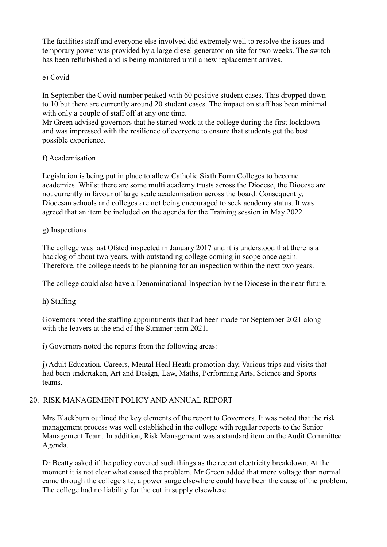The facilities staff and everyone else involved did extremely well to resolve the issues and temporary power was provided by a large diesel generator on site for two weeks. The switch has been refurbished and is being monitored until a new replacement arrives.

### e) Covid

In September the Covid number peaked with 60 positive student cases. This dropped down to 10 but there are currently around 20 student cases. The impact on staff has been minimal with only a couple of staff off at any one time.

Mr Green advised governors that he started work at the college during the first lockdown and was impressed with the resilience of everyone to ensure that students get the best possible experience.

### f) Academisation

Legislation is being put in place to allow Catholic Sixth Form Colleges to become academies. Whilst there are some multi academy trusts across the Diocese, the Diocese are not currently in favour of large scale academisation across the board. Consequently, Diocesan schools and colleges are not being encouraged to seek academy status. It was agreed that an item be included on the agenda for the Training session in May 2022.

### g) Inspections

The college was last Ofsted inspected in January 2017 and it is understood that there is a backlog of about two years, with outstanding college coming in scope once again. Therefore, the college needs to be planning for an inspection within the next two years.

The college could also have a Denominational Inspection by the Diocese in the near future.

## h) Staffing

Governors noted the staffing appointments that had been made for September 2021 along with the leavers at the end of the Summer term 2021.

i) Governors noted the reports from the following areas:

j) Adult Education, Careers, Mental Heal Heath promotion day, Various trips and visits that had been undertaken, Art and Design, Law, Maths, Performing Arts, Science and Sports teams.

## 20. RISK MANAGEMENT POLICY AND ANNUAL REPORT

Mrs Blackburn outlined the key elements of the report to Governors. It was noted that the risk management process was well established in the college with regular reports to the Senior Management Team. In addition, Risk Management was a standard item on the Audit Committee Agenda.

Dr Beatty asked if the policy covered such things as the recent electricity breakdown. At the moment it is not clear what caused the problem. Mr Green added that more voltage than normal came through the college site, a power surge elsewhere could have been the cause of the problem. The college had no liability for the cut in supply elsewhere.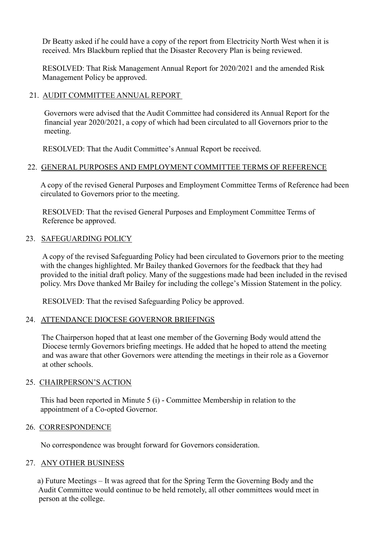Dr Beatty asked if he could have a copy of the report from Electricity North West when it is received. Mrs Blackburn replied that the Disaster Recovery Plan is being reviewed.

RESOLVED: That Risk Management Annual Report for 2020/2021 and the amended Risk Management Policy be approved.

## 21. AUDIT COMMITTEE ANNUAL REPORT

Governors were advised that the Audit Committee had considered its Annual Report for the financial year 2020/2021, a copy of which had been circulated to all Governors prior to the meeting.

RESOLVED: That the Audit Committee's Annual Report be received.

## 22. GENERAL PURPOSES AND EMPLOYMENT COMMITTEE TERMS OF REFERENCE

A copy of the revised General Purposes and Employment Committee Terms of Reference had been circulated to Governors prior to the meeting.

RESOLVED: That the revised General Purposes and Employment Committee Terms of Reference be approved.

### 23. SAFEGUARDING POLICY

A copy of the revised Safeguarding Policy had been circulated to Governors prior to the meeting with the changes highlighted. Mr Bailey thanked Governors for the feedback that they had provided to the initial draft policy. Many of the suggestions made had been included in the revised policy. Mrs Dove thanked Mr Bailey for including the college's Mission Statement in the policy.

RESOLVED: That the revised Safeguarding Policy be approved.

#### 24. ATTENDANCE DIOCESE GOVERNOR BRIEFINGS

 The Chairperson hoped that at least one member of the Governing Body would attend the Diocese termly Governors briefing meetings. He added that he hoped to attend the meeting and was aware that other Governors were attending the meetings in their role as a Governor at other schools.

#### 25. CHAIRPERSON'S ACTION

This had been reported in Minute 5 (i) - Committee Membership in relation to the appointment of a Co-opted Governor.

#### 26. CORRESPONDENCE

No correspondence was brought forward for Governors consideration.

#### 27. ANY OTHER BUSINESS

 a) Future Meetings – It was agreed that for the Spring Term the Governing Body and the Audit Committee would continue to be held remotely, all other committees would meet in person at the college.